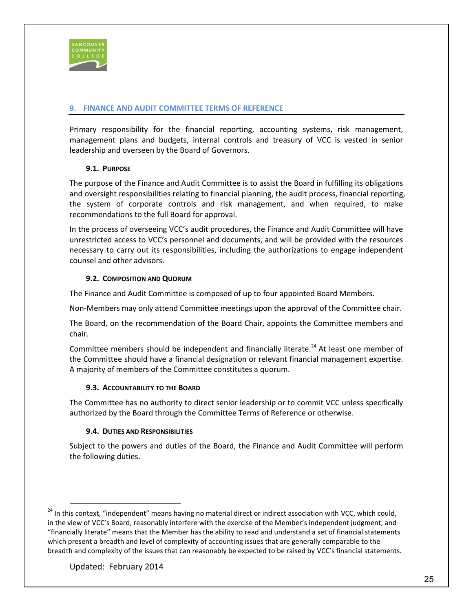

# **FINANCE AND AUDIT COMMITTEE TERMS OF REFERENCE**

Primary responsibility for the financial reporting, accounting systems, risk management, management plans and budgets, internal controls and treasury of VCC is vested in senior leadership and overseen by the Board of Governors.

## **1. PURPOSE**

The purpose of the Finance and Audit Committee is to assist the Board in fulfilling its obligations and oversight responsibilities relating to financial planning, the audit process, financial reporting, the system of corporate controls and risk management, and when required, to make recommendations to the full Board for approval.

In the process of overseeing VCC's audit procedures, the Finance and Audit Committee will have unrestricted access to VCC's personnel and documents, and will be provided with the resources necessary to carry out its responsibilities, including the authorizations to engage independent counsel and other advisors.

### **2. COMPOSITION AND QUORUM**

The Finance and Audit Committee is composed of up to four appointed Board Members.

Non-Members may only attend Committee meetings upon the approval of the Committee chair.

The Board, on the recommendation of the Board Chair, appoints the Committee members and chair.

Committee members should be independent and financially literate.<sup>24</sup> At least one member of the Committee should have a financial designation or relevant financial management expertise. A majority of members of the Committee constitutes a quorum.

#### **3. ACCOUNTABILITY TO THE BOARD**

The Committee has no authority to direct senior leadership or to commit VCC unless specifically authorized by the Board through the Committee Terms of Reference or otherwise.

#### **4. DUTIES AND RESPONSIBILITIES**

Subject to the powers and duties of the Board, the Finance and Audit Committee will perform the following duties.

<sup>&</sup>lt;sup>24</sup> In this context, "independent" means having no material direct or indirect association with VCC, which could, in the view of VCC's Board, reasonably interfere with the exercise of the Member's independent judgment, and "financially literate" means that the Member has the ability to read and understand a set of financial statements which present a breadth and level of complexity of accounting issues that are generally comparable to the breadth and complexity of the issues that can reasonably be expected to be raised by VCC's financial statements.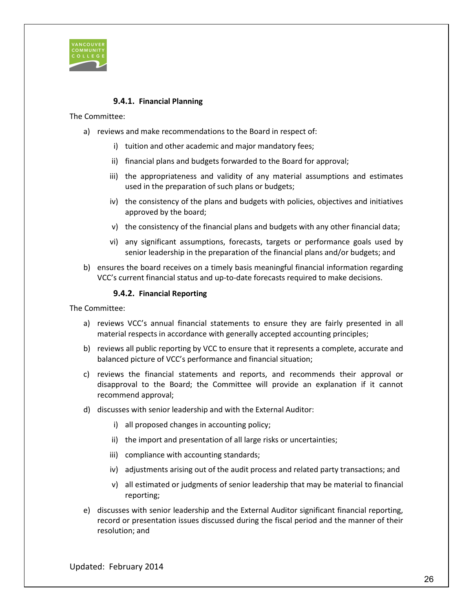

## **4.1 Financial Planning**

The Committee:

- a) reviews and make recommendations to the Board in respect of:
	- i) tuition and other academic and major mandatory fees;
	- ii) financial plans and budgets forwarded to the Board for approval;
	- iii) the appropriateness and validity of any material assumptions and estimates used in the preparation of such plans or budgets;
	- iv) the consistency of the plans and budgets with policies, objectives and initiatives approved by the board;
	- v) the consistency of the financial plans and budgets with any other financial data;
	- vi) any significant assumptions, forecasts, targets or performance goals used by senior leadership in the preparation of the financial plans and/or budgets; and
- b) ensures the board receives on a timely basis meaningful financial information regarding VCC's current financial status and up-to-date forecasts required to make decisions.

### **4.2 Financial Reporting**

The Committee:

- a) reviews VCC's annual financial statements to ensure they are fairly presented in all material respects in accordance with generally accepted accounting principles;
- b) reviews all public reporting by VCC to ensure that it represents a complete, accurate and balanced picture of VCC's performance and financial situation;
- c) reviews the financial statements and reports, and recommends their approval or disapproval to the Board; the Committee will provide an explanation if it cannot recommend approval;
- d) discusses with senior leadership and with the External Auditor:
	- i) all proposed changes in accounting policy;
	- ii) the import and presentation of all large risks or uncertainties;
	- iii) compliance with accounting standards;
	- iv) adjustments arising out of the audit process and related party transactions; and
	- v) all estimated or judgments of senior leadership that may be material to financial reporting;
- e) discusses with senior leadership and the External Auditor significant financial reporting, record or presentation issues discussed during the fiscal period and the manner of their resolution; and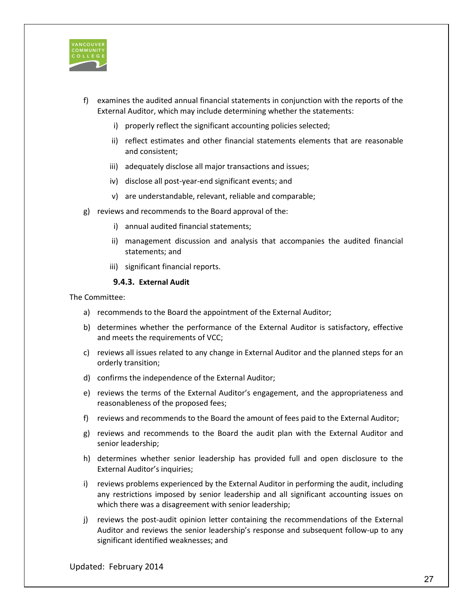

- f) examines the audited annual financial statements in conjunction with the reports of the External Auditor, which may include determining whether the statements:
	- i) properly reflect the significant accounting policies selected;
	- ii) reflect estimates and other financial statements elements that are reasonable and consistent;
	- iii) adequately disclose all major transactions and issues;
	- iv) disclose all post-year-end significant events; and
	- v) are understandable, relevant, reliable and comparable;
- g) reviews and recommends to the Board approval of the:
	- i) annual audited financial statements;
	- ii) management discussion and analysis that accompanies the audited financial statements; and
	- iii) significant financial reports.

### **4.3 External Audit**

The Committee:

- a) recommends to the Board the appointment of the External Auditor;
- b) determines whether the performance of the External Auditor is satisfactory, effective and meets the requirements of VCC;
- c) reviews all issues related to any change in External Auditor and the planned steps for an orderly transition;
- d) confirms the independence of the External Auditor;
- e) reviews the terms of the External Auditor's engagement, and the appropriateness and reasonableness of the proposed fees;
- f) reviews and recommends to the Board the amount of fees paid to the External Auditor;
- g) reviews and recommends to the Board the audit plan with the External Auditor and senior leadership;
- h) determines whether senior leadership has provided full and open disclosure to the External Auditor's inquiries;
- i) reviews problems experienced by the External Auditor in performing the audit, including any restrictions imposed by senior leadership and all significant accounting issues on which there was a disagreement with senior leadership;
- j) reviews the post-audit opinion letter containing the recommendations of the External Auditor and reviews the senior leadership's response and subsequent follow-up to any significant identified weaknesses; and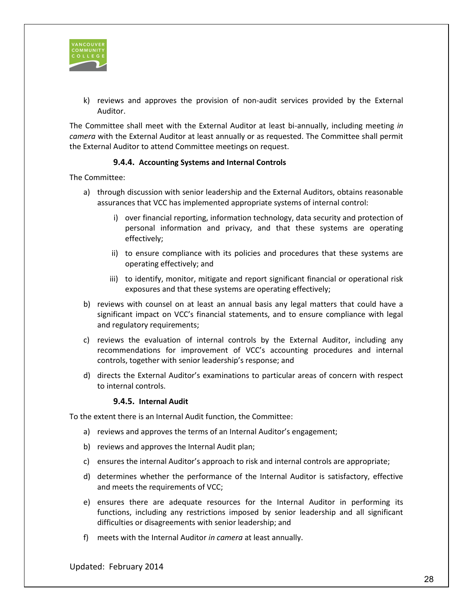

k) reviews and approves the provision of non-audit services provided by the External Auditor.

The Committee shall meet with the External Auditor at least bi-annually, including meeting *in camera* with the External Auditor at least annually or as requested. The Committee shall permit the External Auditor to attend Committee meetings on request.

### **4.4 Accounting Systems and Internal Controls**

The Committee:

- a) through discussion with senior leadership and the External Auditors, obtains reasonable assurances that VCC has implemented appropriate systems of internal control:
	- i) over financial reporting, information technology, data security and protection of personal information and privacy, and that these systems are operating effectively;
	- ii) to ensure compliance with its policies and procedures that these systems are operating effectively; and
	- iii) to identify, monitor, mitigate and report significant financial or operational risk exposures and that these systems are operating effectively;
- b) reviews with counsel on at least an annual basis any legal matters that could have a significant impact on VCC's financial statements, and to ensure compliance with legal and regulatory requirements;
- c) reviews the evaluation of internal controls by the External Auditor, including any recommendations for improvement of VCC's accounting procedures and internal controls, together with senior leadership's response; and
- d) directs the External Auditor's examinations to particular areas of concern with respect to internal controls.

#### **4.5 Internal Audit**

To the extent there is an Internal Audit function, the Committee:

- a) reviews and approves the terms of an Internal Auditor's engagement;
- b) reviews and approves the Internal Audit plan;
- c) ensures the internal Auditor's approach to risk and internal controls are appropriate;
- d) determines whether the performance of the Internal Auditor is satisfactory, effective and meets the requirements of VCC;
- e) ensures there are adequate resources for the Internal Auditor in performing its functions, including any restrictions imposed by senior leadership and all significant difficulties or disagreements with senior leadership; and
- f) meets with the Internal Auditor *in camera* at least annually.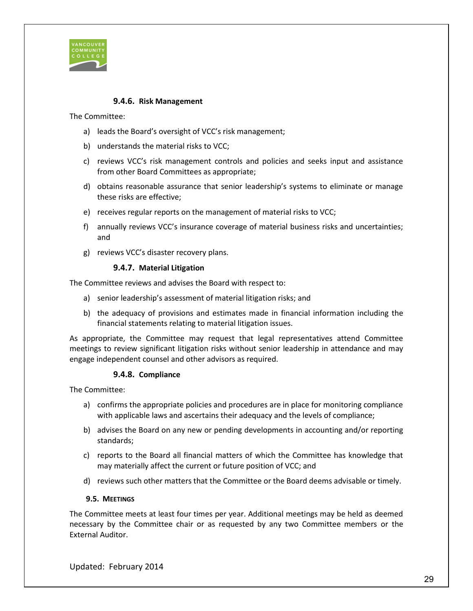

### **4.6 Risk Management**

The Committee:

- a) leads the Board's oversight of VCC's risk management;
- b) understands the material risks to VCC;
- c) reviews VCC's risk management controls and policies and seeks input and assistance from other Board Committees as appropriate;
- d) obtains reasonable assurance that senior leadership's systems to eliminate or manage these risks are effective;
- e) receives regular reports on the management of material risks to VCC;
- f) annually reviews VCC's insurance coverage of material business risks and uncertainties; and
- g) reviews VCC's disaster recovery plans.

#### **4.7 Material Litigation**

The Committee reviews and advises the Board with respect to:

- a) senior leadership's assessment of material litigation risks; and
- b) the adequacy of provisions and estimates made in financial information including the financial statements relating to material litigation issues.

As appropriate, the Committee may request that legal representatives attend Committee meetings to review significant litigation risks without senior leadership in attendance and may engage independent counsel and other advisors as required.

#### **4.8 Compliance**

The Committee:

- a) confirms the appropriate policies and procedures are in place for monitoring compliance with applicable laws and ascertains their adequacy and the levels of compliance;
- b) advises the Board on any new or pending developments in accounting and/or reporting standards;
- c) reports to the Board all financial matters of which the Committee has knowledge that may materially affect the current or future position of VCC; and
- d) reviews such other matters that the Committee or the Board deems advisable or timely.

#### **5. MEETINGS**

The Committee meets at least four times per year. Additional meetings may be held as deemed necessary by the Committee chair or as requested by any two Committee members or the External Auditor.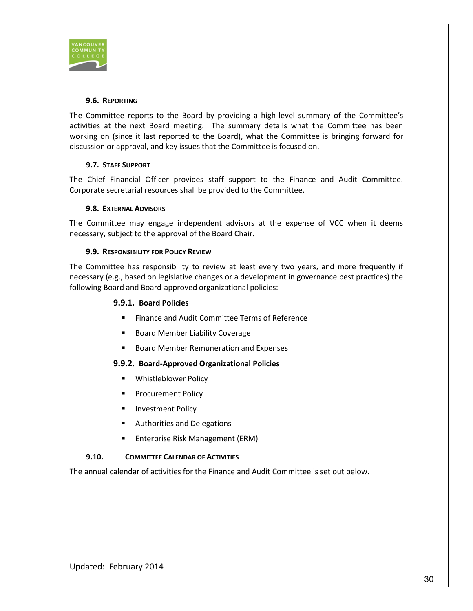

### **6. REPORTING**

The Committee reports to the Board by providing a high-level summary of the Committee's activities at the next Board meeting. The summary details what the Committee has been working on (since it last reported to the Board), what the Committee is bringing forward for discussion or approval, and key issues that the Committee is focused on.

### **7. STAFF SUPPORT**

The Chief Financial Officer provides staff support to the Finance and Audit Committee. Corporate secretarial resources shall be provided to the Committee.

### **8. EXTERNAL ADVISORS**

The Committee may engage independent advisors at the expense of VCC when it deems necessary, subject to the approval of the Board Chair.

### **9. RESPONSIBILITY FOR POLICY REVIEW**

The Committee has responsibility to review at least every two years, and more frequently if necessary (e.g., based on legislative changes or a development in governance best practices) the following Board and Board-approved organizational policies:

### **9.1 Board Policies**

- **Finance and Audit Committee Terms of Reference**
- **Board Member Liability Coverage**
- **Board Member Remuneration and Expenses**

#### **9.2 Board-Approved Organizational Policies**

- **Whistleblower Policy**
- **Procurement Policy**
- **Investment Policy**
- Authorities and Delegations
- **Enterprise Risk Management (ERM)**

#### **10. COMMITTEE CALENDAR OF ACTIVITIES**

The annual calendar of activities for the Finance and Audit Committee is set out below.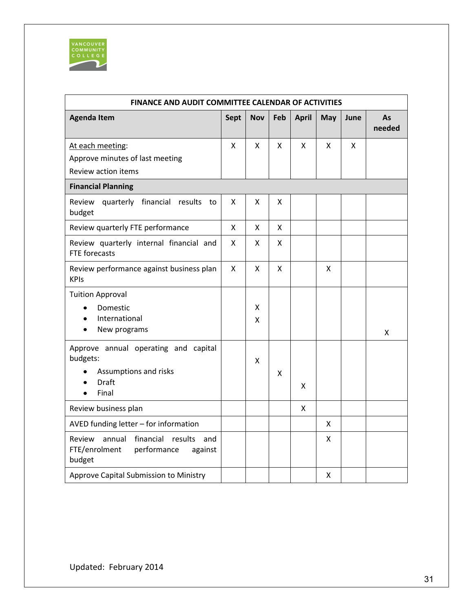

 $\hat{\mathcal{A}}$ 

| FINANCE AND AUDIT COMMITTEE CALENDAR OF ACTIVITIES                                                   |             |            |                    |              |     |      |              |
|------------------------------------------------------------------------------------------------------|-------------|------------|--------------------|--------------|-----|------|--------------|
| <b>Agenda Item</b>                                                                                   | <b>Sept</b> | <b>Nov</b> | Feb                | <b>April</b> | May | June | As<br>needed |
| At each meeting:                                                                                     | X           | X          | X                  | X            | x   | X    |              |
| Approve minutes of last meeting                                                                      |             |            |                    |              |     |      |              |
| Review action items                                                                                  |             |            |                    |              |     |      |              |
| <b>Financial Planning</b>                                                                            |             |            |                    |              |     |      |              |
| Review<br>financial<br>quarterly<br>results<br>to<br>budget                                          | X           | X          | X                  |              |     |      |              |
| Review quarterly FTE performance                                                                     | X           | X          | X                  |              |     |      |              |
| Review quarterly internal financial and<br>FTE forecasts                                             | X           | x          | $\pmb{\mathsf{X}}$ |              |     |      |              |
| Review performance against business plan<br><b>KPIs</b>                                              | X           | Χ          | $\pmb{\mathsf{X}}$ |              | X   |      |              |
| <b>Tuition Approval</b>                                                                              |             |            |                    |              |     |      |              |
| Domestic                                                                                             |             | x          |                    |              |     |      |              |
| International                                                                                        |             | x          |                    |              |     |      |              |
| New programs                                                                                         |             |            |                    |              |     |      | X            |
| Approve annual operating and capital                                                                 |             |            |                    |              |     |      |              |
| budgets:                                                                                             |             | x          |                    |              |     |      |              |
| Assumptions and risks<br>Draft                                                                       |             |            | X                  |              |     |      |              |
| Final<br>$\bullet$                                                                                   |             |            |                    | x            |     |      |              |
| Review business plan                                                                                 |             |            |                    | Χ            |     |      |              |
| AVED funding letter - for information                                                                |             |            |                    |              | X   |      |              |
| annual<br>financial<br>results<br>Review<br>and<br>FTE/enrolment<br>performance<br>against<br>budget |             |            |                    |              | x   |      |              |
| Approve Capital Submission to Ministry                                                               |             |            |                    |              | X   |      |              |

 $\hat{\phi}$ 

 $\hat{\phi}$ 

 $\hat{\mathcal{A}}$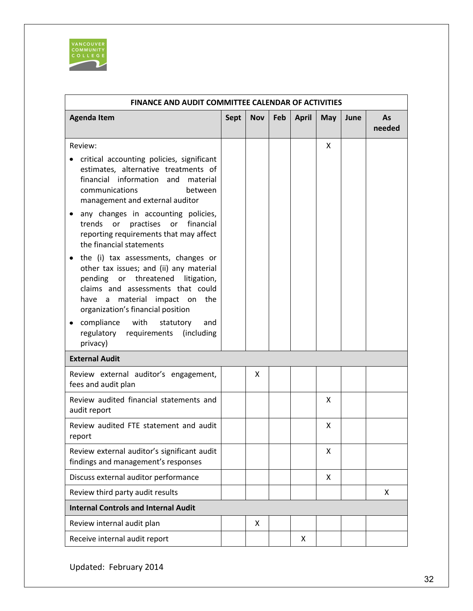

 $\bar{z}$ 

| <b>FINANCE AND AUDIT COMMITTEE CALENDAR OF ACTIVITIES</b>                                                                                                                                                                                      |             |            |     |              |     |      |              |
|------------------------------------------------------------------------------------------------------------------------------------------------------------------------------------------------------------------------------------------------|-------------|------------|-----|--------------|-----|------|--------------|
| <b>Agenda Item</b>                                                                                                                                                                                                                             | <b>Sept</b> | <b>Nov</b> | Feb | <b>April</b> | May | June | As<br>needed |
| Review:                                                                                                                                                                                                                                        |             |            |     |              | X   |      |              |
| critical accounting policies, significant<br>estimates, alternative treatments of<br>financial information and<br>material<br>communications<br>between<br>management and external auditor                                                     |             |            |     |              |     |      |              |
| any changes in accounting policies,<br>٠<br>practises<br>or<br>financial<br>trends<br>or<br>reporting requirements that may affect<br>the financial statements                                                                                 |             |            |     |              |     |      |              |
| the (i) tax assessments, changes or<br>$\bullet$<br>other tax issues; and (ii) any material<br>pending or threatened litigation,<br>claims and assessments that could<br>material impact on the<br>have a<br>organization's financial position |             |            |     |              |     |      |              |
| compliance with<br>statutory<br>and<br>٠<br>regulatory requirements (including<br>privacy)                                                                                                                                                     |             |            |     |              |     |      |              |
| <b>External Audit</b>                                                                                                                                                                                                                          |             |            |     |              |     |      |              |
| Review external auditor's engagement,<br>fees and audit plan                                                                                                                                                                                   |             | x          |     |              |     |      |              |
| Review audited financial statements and<br>audit report                                                                                                                                                                                        |             |            |     |              | X   |      |              |
| Review audited FTE statement and audit<br>report                                                                                                                                                                                               |             |            |     |              | X   |      |              |
| Review external auditor's significant audit<br>findings and management's responses                                                                                                                                                             |             |            |     |              | X   |      |              |
| Discuss external auditor performance                                                                                                                                                                                                           |             |            |     |              | X   |      |              |
| Review third party audit results                                                                                                                                                                                                               |             |            |     |              |     |      | X            |
| <b>Internal Controls and Internal Audit</b>                                                                                                                                                                                                    |             |            |     |              |     |      |              |
| Review internal audit plan                                                                                                                                                                                                                     |             | X          |     |              |     |      |              |
| Receive internal audit report                                                                                                                                                                                                                  |             |            |     | X            |     |      |              |

l,

 $\ddot{\phantom{1}}$ 

 $\ddot{\phantom{a}}$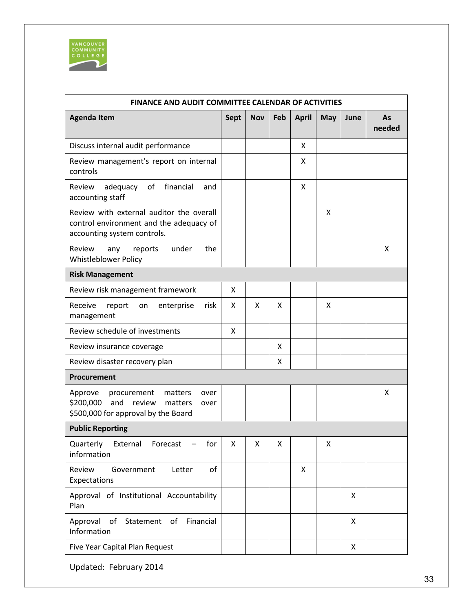

 $\bar{z}$ 

| <b>FINANCE AND AUDIT COMMITTEE CALENDAR OF ACTIVITIES</b>                                                                      |             |            |     |              |     |      |              |
|--------------------------------------------------------------------------------------------------------------------------------|-------------|------------|-----|--------------|-----|------|--------------|
| <b>Agenda Item</b>                                                                                                             | <b>Sept</b> | <b>Nov</b> | Feb | <b>April</b> | May | June | As<br>needed |
| Discuss internal audit performance                                                                                             |             |            |     | x            |     |      |              |
| Review management's report on internal<br>controls                                                                             |             |            |     | X            |     |      |              |
| financial<br>of<br>Review<br>adequacy<br>and<br>accounting staff                                                               |             |            |     | X            |     |      |              |
| Review with external auditor the overall<br>control environment and the adequacy of<br>accounting system controls.             |             |            |     |              | X   |      |              |
| Review<br>under<br>the<br>reports<br>any<br><b>Whistleblower Policy</b>                                                        |             |            |     |              |     |      | X            |
| <b>Risk Management</b>                                                                                                         |             |            |     |              |     |      |              |
| Review risk management framework                                                                                               | x           |            |     |              |     |      |              |
| Receive<br>enterprise<br>risk<br>report<br>on<br>management                                                                    | X           | X          | X   |              | X   |      |              |
| Review schedule of investments                                                                                                 | X           |            |     |              |     |      |              |
| Review insurance coverage                                                                                                      |             |            | X   |              |     |      |              |
| Review disaster recovery plan                                                                                                  |             |            | x   |              |     |      |              |
| Procurement                                                                                                                    |             |            |     |              |     |      |              |
| matters<br>Approve<br>procurement<br>over<br>\$200,000 and<br>review<br>matters<br>over<br>\$500,000 for approval by the Board |             |            |     |              |     |      | X            |
| <b>Public Reporting</b>                                                                                                        |             |            |     |              |     |      |              |
| Quarterly<br>External<br>for<br>Forecast<br>$\overline{\phantom{m}}$<br>information                                            | X           | X          | X   |              | X   |      |              |
| Review<br>of<br>Government<br>Letter<br>Expectations                                                                           |             |            |     | X            |     |      |              |
| Approval of Institutional Accountability<br>Plan                                                                               |             |            |     |              |     | X    |              |
| Approval of Statement of Financial<br>Information                                                                              |             |            |     |              |     | X    |              |
| Five Year Capital Plan Request                                                                                                 |             |            |     |              |     | X    |              |

 $\hat{\mathbf{r}}$ 

l,

 $\ddot{\phantom{a}}$